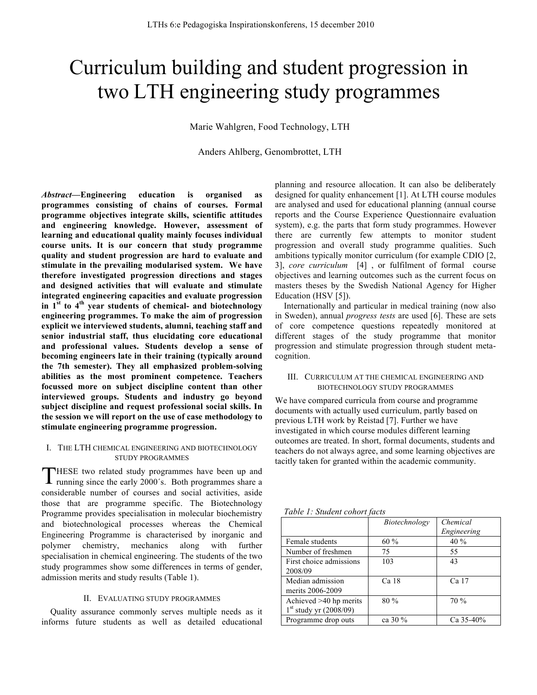# Curriculum building and student progression in two LTH engineering study programmes

Marie Wahlgren, Food Technology, LTH

Anders Ahlberg, Genombrottet, LTH

*Abstract***—Engineering education is organised as programmes consisting of chains of courses. Formal programme objectives integrate skills, scientific attitudes and engineering knowledge. However, assessment of learning and educational quality mainly focuses individual course units. It is our concern that study programme quality and student progression are hard to evaluate and stimulate in the prevailing modularised system. We have therefore investigated progression directions and stages and designed activities that will evaluate and stimulate integrated engineering capacities and evaluate progression in 1st to 4th year students of chemical- and biotechnology engineering programmes. To make the aim of progression explicit we interviewed students, alumni, teaching staff and senior industrial staff, thus elucidating core educational and professional values. Students develop a sense of becoming engineers late in their training (typically around the 7th semester). They all emphasized problem-solving abilities as the most prominent competence. Teachers focussed more on subject discipline content than other interviewed groups. Students and industry go beyond subject discipline and request professional social skills. In the session we will report on the use of case methodology to stimulate engineering programme progression.**

## I. THE LTH CHEMICAL ENGINEERING AND BIOTECHNOLOGY STUDY PROGRAMMES

**THESE** two related study programmes have been up and THESE two related study programmes have been up and running since the early 2000's. Both programmes share a considerable number of courses and social activities, aside those that are programme specific. The Biotechnology Programme provides specialisation in molecular biochemistry and biotechnological processes whereas the Chemical Engineering Programme is characterised by inorganic and polymer chemistry, mechanics along with further specialisation in chemical engineering. The students of the two study programmes show some differences in terms of gender, admission merits and study results (Table 1).

### II. EVALUATING STUDY PROGRAMMES

Quality assurance commonly serves multiple needs as it informs future students as well as detailed educational

planning and resource allocation. It can also be deliberately designed for quality enhancement [1]. At LTH course modules are analysed and used for educational planning (annual course reports and the Course Experience Questionnaire evaluation system), e.g. the parts that form study programmes. However there are currently few attempts to monitor student progression and overall study programme qualities. Such ambitions typically monitor curriculum (for example CDIO [2, 3], *core curriculum* [4] , or fulfilment of formal course objectives and learning outcomes such as the current focus on masters theses by the Swedish National Agency for Higher Education (HSV [5]).

Internationally and particular in medical training (now also in Sweden), annual *progress tests* are used [6]. These are sets of core competence questions repeatedly monitored at different stages of the study programme that monitor progression and stimulate progression through student metacognition.

#### III. CURRICULUM AT THE CHEMICAL ENGINEERING AND BIOTECHNOLOGY STUDY PROGRAMMES

We have compared curricula from course and programme documents with actually used curriculum, partly based on previous LTH work by Reistad [7]. Further we have investigated in which course modules different learning outcomes are treated. In short, formal documents, students and teachers do not always agree, and some learning objectives are tacitly taken for granted within the academic community.

*Table 1: Student cohort facts* 

|                          | Biotechnology | Chemical    |
|--------------------------|---------------|-------------|
|                          |               | Engineering |
| Female students          | $60\%$        | 40 %        |
| Number of freshmen       | 75            | 55          |
| First choice admissions  | 103           | 43          |
| 2008/09                  |               |             |
| Median admission         | Ca 18         | Ca 17       |
| merits 2006-2009         |               |             |
| Achieved >40 hp merits   | 80%           | 70%         |
| $1st$ study yr (2008/09) |               |             |
| Programme drop outs      | ca 30 %       | Ca $35-40%$ |